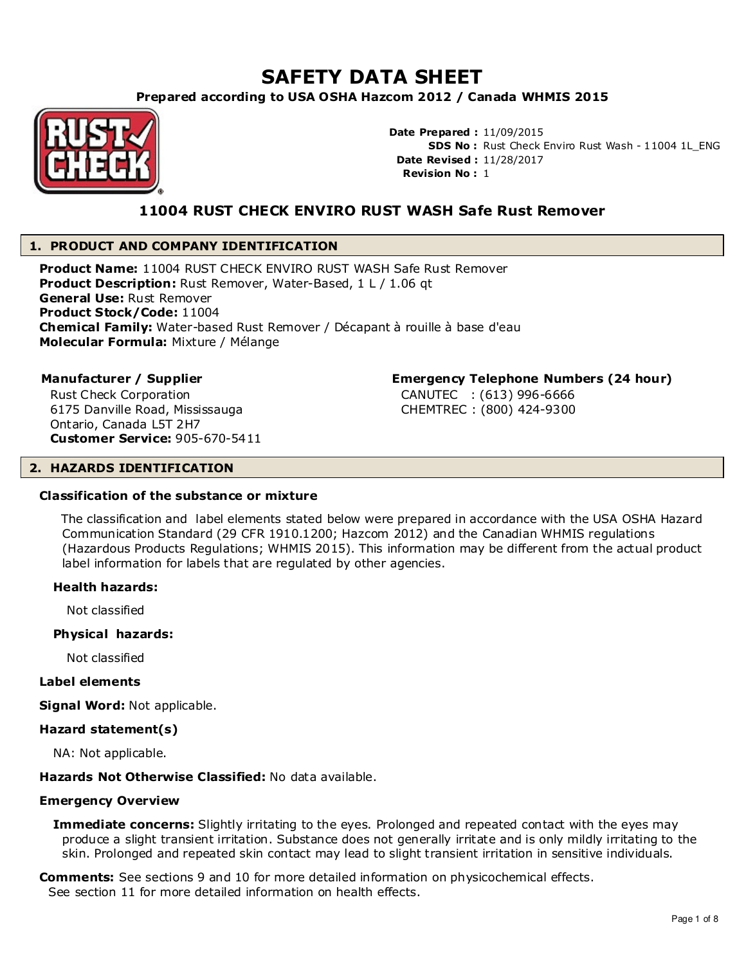# **SAFETY DATA SHEET**

**Prepared according to USA OSHA Hazcom 2012 / Canada WHMIS 2015**



**Date Prepared :** 11/09/2015 **SDS No :** Rust Check Enviro Rust Wash - 11004 1L\_ENG **Date Revised :** 11/28/2017 **Revision No :** 1

# **11004 RUST CHECK ENVIRO RUST WASH Safe Rust Remover**

# **1. PRODUCT AND COMPANY IDENTIFICATION**

**Product Name:** 11004 RUST CHECK ENVIRO RUST WASH Safe Rust Remover **Product Description:** Rust Remover, Water-Based, 1 L / 1.06 qt **General Use:** Rust Remover **Product Stock/Code:** 11004 **Chemical Family:** Water-based Rust Remover / Décapant à rouille à base d'eau **Molecular Formula:** Mixture / Mélange

Rust Check Corporation 6175 Danville Road, Mississauga Ontario, Canada L5T 2H7 **Customer Service:** 905-670-5411

# **Manufacturer / Supplier Emergency Telephone Numbers (24 hour)**

 CANUTEC : (613) 996-6666 CHEMTREC : (800) 424-9300

# **2. HAZARDS IDENTIFICATION**

#### **Classification of the substance or mixture**

 The classification and label elements stated below were prepared in accordance with the USA OSHA Hazard Communication Standard (29 CFR 1910.1200; Hazcom 2012) and the Canadian WHMIS regulations (Hazardous Products Regulations; WHMIS 2015). This information may be different from the actual product label information for labels that are regulated by other agencies.

# **Health hazards:**

Not classified

# **Physical hazards:**

Not classified

# **Label elements**

**Signal Word:** Not applicable.

# **Hazard statement(s)**

NA: Not applicable.

# **Hazards Not Otherwise Classified:** No data available.

# **Emergency Overview**

**Immediate concerns:** Slightly irritating to the eyes. Prolonged and repeated contact with the eyes may produce a slight transient irritation. Substance does not generally irritate and is only mildly irritating to the skin. Prolonged and repeated skin contact may lead to slight transient irritation in sensitive individuals.

**Comments:** See sections 9 and 10 for more detailed information on physicochemical effects. See section 11 for more detailed information on health effects.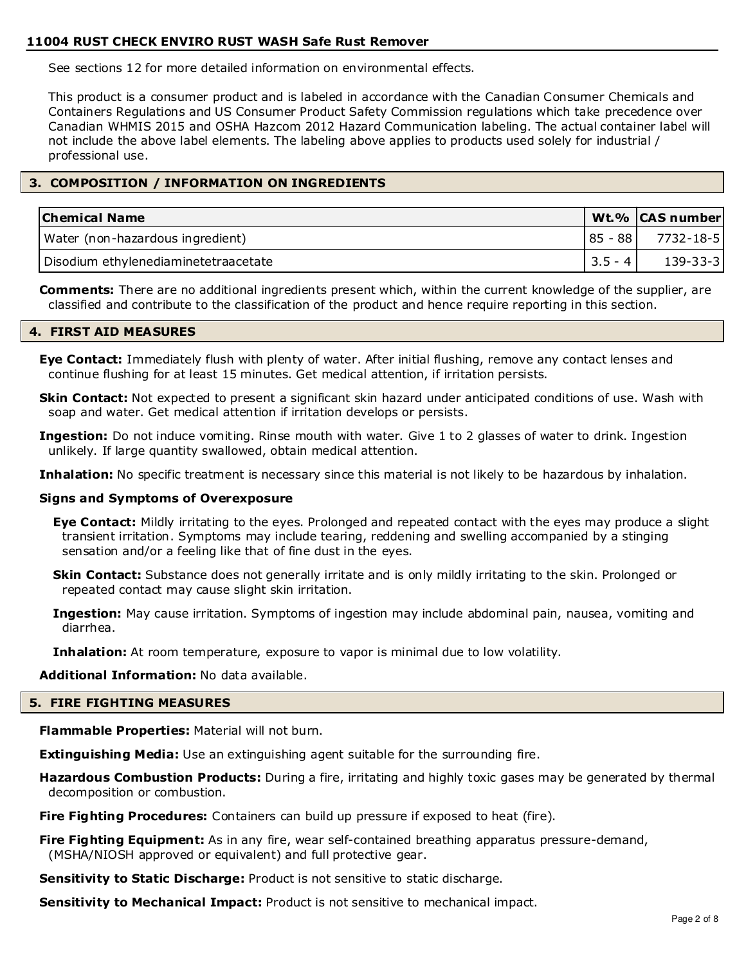# **11004 RUST CHECK ENVIRO RUST WASH Safe Rust Remover**

See sections 12 for more detailed information on environmental effects.

This product is a consumer product and is labeled in accordance with the Canadian Consumer Chemicals and Containers Regulations and US Consumer Product Safety Commission regulations which take precedence over Canadian WHMIS 2015 and OSHA Hazcom 2012 Hazard Communication labeling. The actual container label will not include the above label elements. The labeling above applies to products used solely for industrial / professional use.

# **3. COMPOSITION / INFORMATION ON INGREDIENTS**

| <b>Chemical Name</b>                 |             | Wt.% CAS number       |
|--------------------------------------|-------------|-----------------------|
| Water (non-hazardous ingredient)     |             | $ 85 - 88 $ 7732-18-5 |
| Disodium ethylenediaminetetraacetate | $ 3.5 - 4 $ | $139 - 33 - 3$        |

**Comments:** There are no additional ingredients present which, within the current knowledge of the supplier, are classified and contribute to the classification of the product and hence require reporting in this section.

#### **4. FIRST AID MEASURES**

**Eye Contact:** Immediately flush with plenty of water. After initial flushing, remove any contact lenses and continue flushing for at least 15 minutes. Get medical attention, if irritation persists.

**Skin Contact:** Not expected to present a significant skin hazard under anticipated conditions of use. Wash with soap and water. Get medical attention if irritation develops or persists.

**Ingestion:** Do not induce vomiting. Rinse mouth with water. Give 1 to 2 glasses of water to drink. Ingestion unlikely. If large quantity swallowed, obtain medical attention.

Inhalation: No specific treatment is necessary since this material is not likely to be hazardous by inhalation.

# **Signs and Symptoms of Overexposure**

**Eye Contact:** Mildly irritating to the eyes. Prolonged and repeated contact with the eyes may produce a slight transient irritation. Symptoms may include tearing, reddening and swelling accompanied by a stinging sensation and/or a feeling like that of fine dust in the eyes.

**Skin Contact:** Substance does not generally irritate and is only mildly irritating to the skin. Prolonged or repeated contact may cause slight skin irritation.

**Ingestion:** May cause irritation. Symptoms of ingestion may include abdominal pain, nausea, vomiting and diarrhea.

**Inhalation:** At room temperature, exposure to vapor is minimal due to low volatility.

**Additional Information:** No data available.

#### **5. FIRE FIGHTING MEASURES**

**Flammable Properties:** Material will not burn.

**Extinguishing Media:** Use an extinguishing agent suitable for the surrounding fire.

**Hazardous Combustion Products:** During a fire, irritating and highly toxic gases may be generated by thermal decomposition or combustion.

**Fire Fighting Procedures:** Containers can build up pressure if exposed to heat (fire).

**Fire Fighting Equipment:** As in any fire, wear self-contained breathing apparatus pressure-demand, (MSHA/NIOSH approved or equivalent) and full protective gear.

**Sensitivity to Static Discharge:** Product is not sensitive to static discharge.

**Sensitivity to Mechanical Impact:** Product is not sensitive to mechanical impact.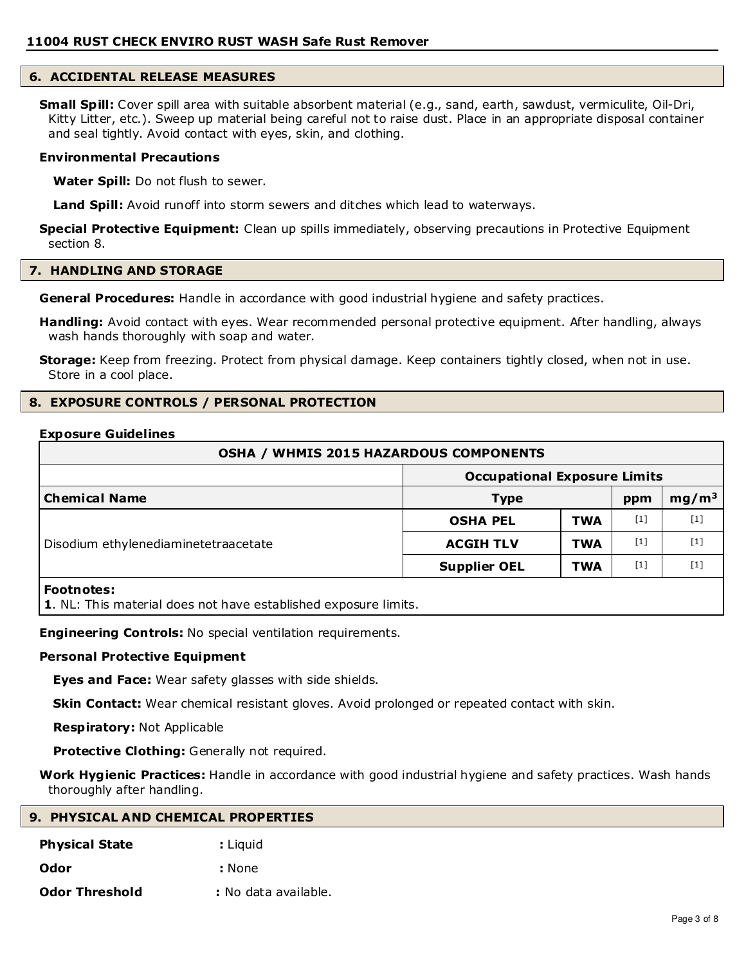# **6. ACCIDENTAL RELEASE MEASURES**

**Small Spill:** Cover spill area with suitable absorbent material (e.g., sand, earth, sawdust, vermiculite, Oil-Dri, Kitty Litter, etc.). Sweep up material being careful not to raise dust. Place in an appropriate disposal container and seal tightly. Avoid contact with eyes, skin, and clothing.

#### **Environmental Precautions**

**Water Spill:** Do not flush to sewer.

**Land Spill:** Avoid runoff into storm sewers and ditches which lead to waterways.

**Special Protective Equipment:** Clean up spills immediately, observing precautions in Protective Equipment section 8.

# **7. HANDLING AND STORAGE**

**General Procedures:** Handle in accordance with good industrial hygiene and safety practices.

**Handling:** Avoid contact with eyes. Wear recommended personal protective equipment. After handling, always wash hands thoroughly with soap and water.

**Storage:** Keep from freezing. Protect from physical damage. Keep containers tightly closed, when not in use. Store in a cool place.

# **8. EXPOSURE CONTROLS / PERSONAL PROTECTION**

#### **Exposure Guidelines**

| <b>OSHA / WHMIS 2015 HAZARDOUS COMPONENTS</b> |                                     |            |       |                   |
|-----------------------------------------------|-------------------------------------|------------|-------|-------------------|
|                                               | <b>Occupational Exposure Limits</b> |            |       |                   |
| <b>Chemical Name</b>                          | <b>Type</b>                         |            | ppm   | mg/m <sup>3</sup> |
|                                               | <b>OSHA PEL</b>                     | <b>TWA</b> | $[1]$ | $[1]$             |
| Disodium ethylenediaminetetraacetate          | <b>ACGIH TLV</b>                    | <b>TWA</b> | $[1]$ | [1]               |
|                                               | <b>Supplier OEL</b>                 | <b>TWA</b> | $[1]$ | [1]               |
| Eootnotoc:                                    |                                     |            |       |                   |

**Footnotes:**

**1**. NL: This material does not have established exposure limits.

**Engineering Controls:** No special ventilation requirements.

#### **Personal Protective Equipment**

**Eyes and Face:** Wear safety glasses with side shields.

**Skin Contact:** Wear chemical resistant gloves. Avoid prolonged or repeated contact with skin.

**Respiratory:** Not Applicable

**Protective Clothing:** Generally not required.

**Work Hygienic Practices:** Handle in accordance with good industrial hygiene and safety practices. Wash hands thoroughly after handling.

| 9. PHYSICAL AND CHEMICAL PROPERTIES |                      |  |
|-------------------------------------|----------------------|--|
| <b>Physical State</b>               | : Liguid             |  |
| Odor                                | : None               |  |
| <b>Odor Threshold</b>               | : No data available. |  |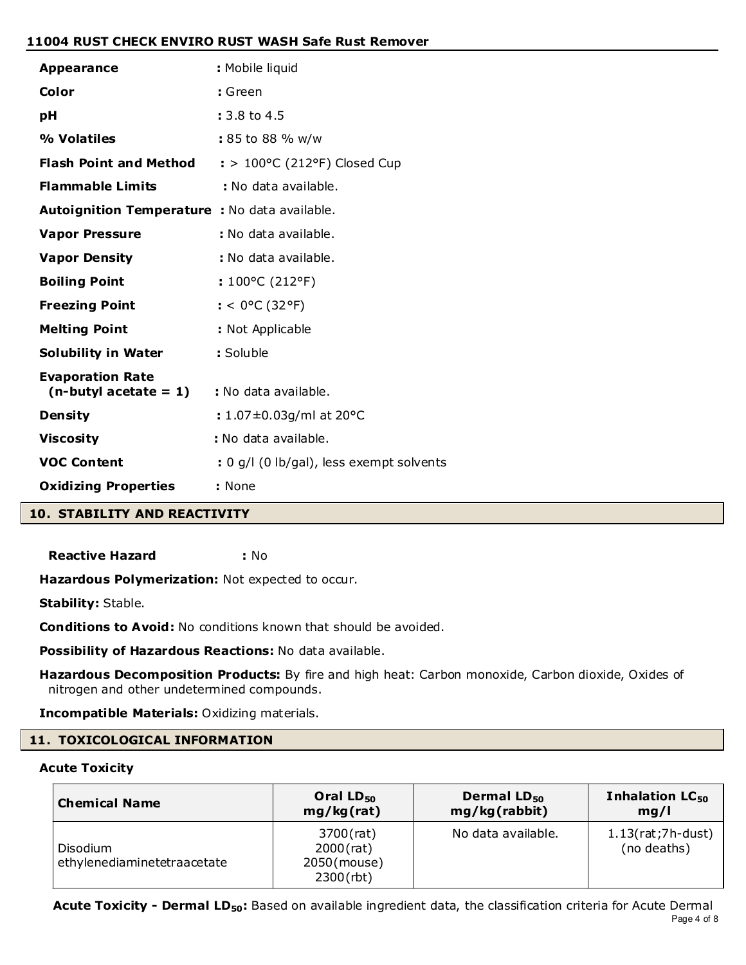# **11004 RUST CHECK ENVIRO RUST WASH Safe Rust Remover**

| <b>Appearance</b>                                   | : Mobile liquid                          |
|-----------------------------------------------------|------------------------------------------|
| Color                                               | : Green                                  |
| pH                                                  | : 3.8 to 4.5                             |
| % Volatiles                                         | : 85 to 88 % w/w                         |
| <b>Flash Point and Method</b>                       | $:$ > 100°C (212°F) Closed Cup           |
| <b>Flammable Limits</b>                             | : No data available.                     |
| Autoignition Temperature : No data available.       |                                          |
| <b>Vapor Pressure</b>                               | : No data available.                     |
| <b>Vapor Density</b>                                | : No data available.                     |
| <b>Boiling Point</b>                                | : $100^{\circ}$ C (212°F)                |
| <b>Freezing Point</b>                               | : < $0^{\circ}$ C (32°F)                 |
| <b>Melting Point</b>                                | : Not Applicable                         |
| <b>Solubility in Water</b>                          | : Soluble                                |
| <b>Evaporation Rate</b><br>$(n$ -butyl acetate = 1) | : No data available.                     |
| <b>Density</b>                                      | : $1.07 \pm 0.03$ g/ml at 20°C           |
| <b>Viscosity</b>                                    | : No data available.                     |
| <b>VOC Content</b>                                  | : 0 g/l (0 lb/gal), less exempt solvents |
| <b>Oxidizing Properties</b>                         | : None                                   |
| <b>10. STABILITY AND REACTIVITY</b>                 |                                          |

**Reactive Hazard :** No

Hazardous Polymerization: Not expected to occur.

**Stability:** Stable.

**Conditions to Avoid:** No conditions known that should be avoided.

**Possibility of Hazardous Reactions:** No data available.

**Hazardous Decomposition Products:** By fire and high heat: Carbon monoxide, Carbon dioxide, Oxides of nitrogen and other undetermined compounds.

**Incompatible Materials:** Oxidizing materials.

# **11. TOXICOLOGICAL INFORMATION**

# **Acute Toxicity**

| <b>Chemical Name</b>                    | Oral $LD_{50}$                                           | Dermal LD <sub>50</sub> | Inhalation LC <sub>50</sub>        |
|-----------------------------------------|----------------------------------------------------------|-------------------------|------------------------------------|
|                                         | mg/kg(rat)                                               | mg/kg(rabbit)           | mg/l                               |
| Disodium<br>ethylenediaminetetraacetate | 3700(rat)<br>$2000$ (rat)<br>2050(mouse)<br>$2300$ (rbt) | No data available.      | $1.13(rat;7h-dust)$<br>(no deaths) |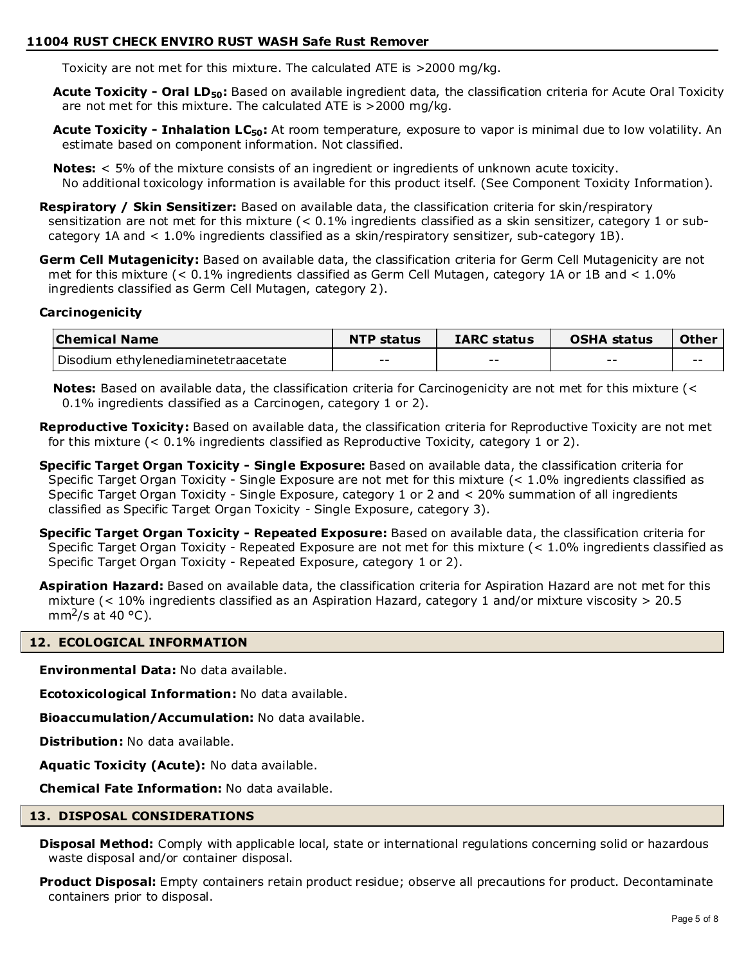# **11004 RUST CHECK ENVIRO RUST WASH Safe Rust Remover**

Toxicity are not met for this mixture. The calculated ATE is >2000 mg/kg.

**Acute Toxicity - Oral LD50:** Based on available ingredient data, the classification criteria for Acute Oral Toxicity are not met for this mixture. The calculated ATE is >2000 mg/kg.

**Acute Toxicity - Inhalation LC50:** At room temperature, exposure to vapor is minimal due to low volatility. An estimate based on component information. Not classified.

**Notes:** < 5% of the mixture consists of an ingredient or ingredients of unknown acute toxicity. No additional toxicology information is available for this product itself. (See Component Toxicity Information).

**Respiratory / Skin Sensitizer:** Based on available data, the classification criteria for skin/respiratory sensitization are not met for this mixture (< 0.1% ingredients classified as a skin sensitizer, category 1 or subcategory 1A and < 1.0% ingredients classified as a skin/respiratory sensitizer, sub-category 1B).

**Germ Cell Mutagenicity:** Based on available data, the classification criteria for Germ Cell Mutagenicity are not met for this mixture (< 0.1% ingredients classified as Germ Cell Mutagen, category 1A or 1B and < 1.0% ingredients classified as Germ Cell Mutagen, category 2).

# **Carcinogenicity**

| <b>Chemical Name</b>                 | <b>NTP status</b> | <b>IARC status</b> | <b>OSHA status</b> | Other |
|--------------------------------------|-------------------|--------------------|--------------------|-------|
| Disodium ethylenediaminetetraacetate | $- -$             | $- -$              | $- -$              | $- -$ |

**Notes:** Based on available data, the classification criteria for Carcinogenicity are not met for this mixture (< 0.1% ingredients classified as a Carcinogen, category 1 or 2).

**Reproductive Toxicity:** Based on available data, the classification criteria for Reproductive Toxicity are not met for this mixture  $($  < 0.1% ingredients classified as Reproductive Toxicity, category 1 or 2).

**Specific Target Organ Toxicity - Single Exposure:** Based on available data, the classification criteria for Specific Target Organ Toxicity - Single Exposure are not met for this mixture (< 1.0% ingredients classified as Specific Target Organ Toxicity - Single Exposure, category 1 or 2 and < 20% summation of all ingredients classified as Specific Target Organ Toxicity - Single Exposure, category 3).

**Specific Target Organ Toxicity - Repeated Exposure:** Based on available data, the classification criteria for Specific Target Organ Toxicity - Repeated Exposure are not met for this mixture (< 1.0% ingredients classified as Specific Target Organ Toxicity - Repeated Exposure, category 1 or 2).

**Aspiration Hazard:** Based on available data, the classification criteria for Aspiration Hazard are not met for this mixture (< 10% ingredients classified as an Aspiration Hazard, category 1 and/or mixture viscosity > 20.5 mm<sup>2</sup>/s at 40 °C).

# **12. ECOLOGICAL INFORMATION**

**Environmental Data:** No data available.

**Ecotoxicological Information:** No data available.

**Bioaccumulation/Accumulation:** No data available.

**Distribution:** No data available.

**Aquatic Toxicity (Acute):** No data available.

**Chemical Fate Information:** No data available.

# **13. DISPOSAL CONSIDERATIONS**

**Disposal Method:** Comply with applicable local, state or international regulations concerning solid or hazardous waste disposal and/or container disposal.

**Product Disposal:** Empty containers retain product residue; observe all precautions for product. Decontaminate containers prior to disposal.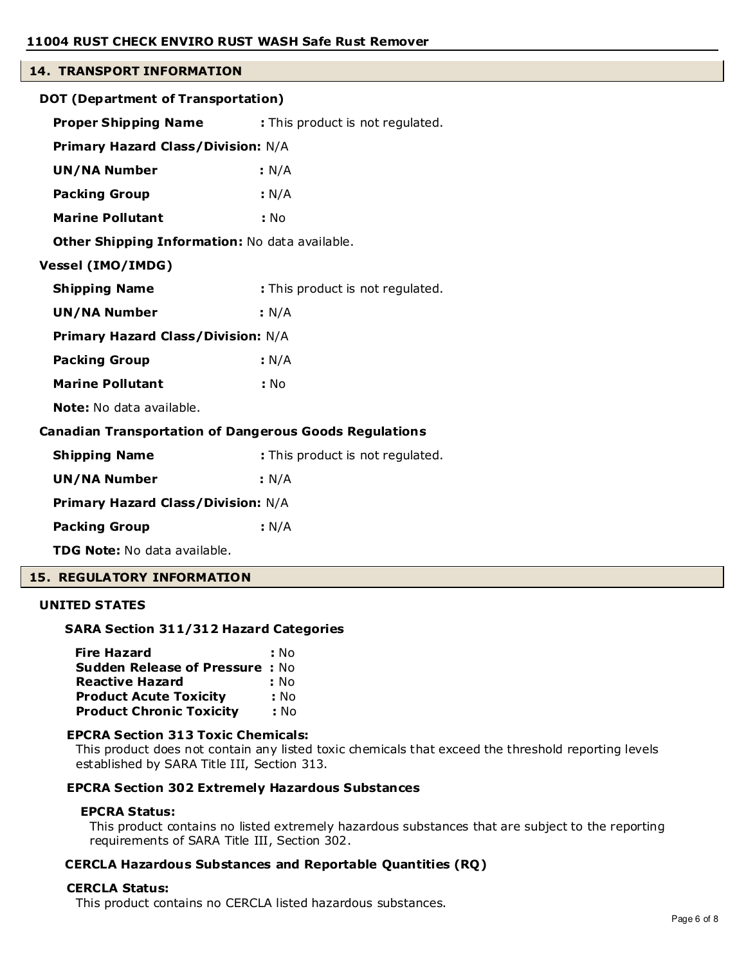# **14. TRANSPORT INFORMATION**

| DOT (Department of Transportation)                            |                                  |  |  |
|---------------------------------------------------------------|----------------------------------|--|--|
| <b>Proper Shipping Name</b>                                   | : This product is not regulated. |  |  |
| <b>Primary Hazard Class/Division: N/A</b>                     |                                  |  |  |
| <b>UN/NA Number</b>                                           | : N/A                            |  |  |
| <b>Packing Group</b>                                          | : N/A                            |  |  |
| <b>Marine Pollutant</b>                                       | : No                             |  |  |
| Other Shipping Information: No data available.                |                                  |  |  |
| <b>Vessel (IMO/IMDG)</b>                                      |                                  |  |  |
| <b>Shipping Name</b>                                          | : This product is not regulated. |  |  |
| <b>UN/NA Number</b>                                           | : N/A                            |  |  |
| Primary Hazard Class/Division: N/A                            |                                  |  |  |
| <b>Packing Group</b>                                          | : N/A                            |  |  |
| <b>Marine Pollutant</b>                                       | : No                             |  |  |
| <b>Note:</b> No data available.                               |                                  |  |  |
| <b>Canadian Transportation of Dangerous Goods Regulations</b> |                                  |  |  |
| <b>Shipping Name</b>                                          | : This product is not regulated. |  |  |
| <b>UN/NA Number</b>                                           | : N/A                            |  |  |
| <b>Primary Hazard Class/Division: N/A</b>                     |                                  |  |  |
| <b>Packing Group</b>                                          | : N/A                            |  |  |
| <b>TDG Note:</b> No data available.                           |                                  |  |  |

# **15. REGULATORY INFORMATION**

#### **UNITED STATES**

#### **SARA Section 311/312 Hazard Categories**

| <b>Fire Hazard</b>                    | : No |
|---------------------------------------|------|
| <b>Sudden Release of Pressure: No</b> |      |
| <b>Reactive Hazard</b>                | : No |
| <b>Product Acute Toxicity</b>         | : No |
| <b>Product Chronic Toxicity</b>       | : No |

#### **EPCRA Section 313 Toxic Chemicals:**

This product does not contain any listed toxic chemicals that exceed the threshold reporting levels established by SARA Title III, Section 313.

# **EPCRA Section 302 Extremely Hazardous Substances**

#### **EPCRA Status:**

This product contains no listed extremely hazardous substances that are subject to the reporting requirements of SARA Title III, Section 302.

# **CERCLA Hazardous Substances and Reportable Quantities (RQ)**

#### **CERCLA Status:**

This product contains no CERCLA listed hazardous substances.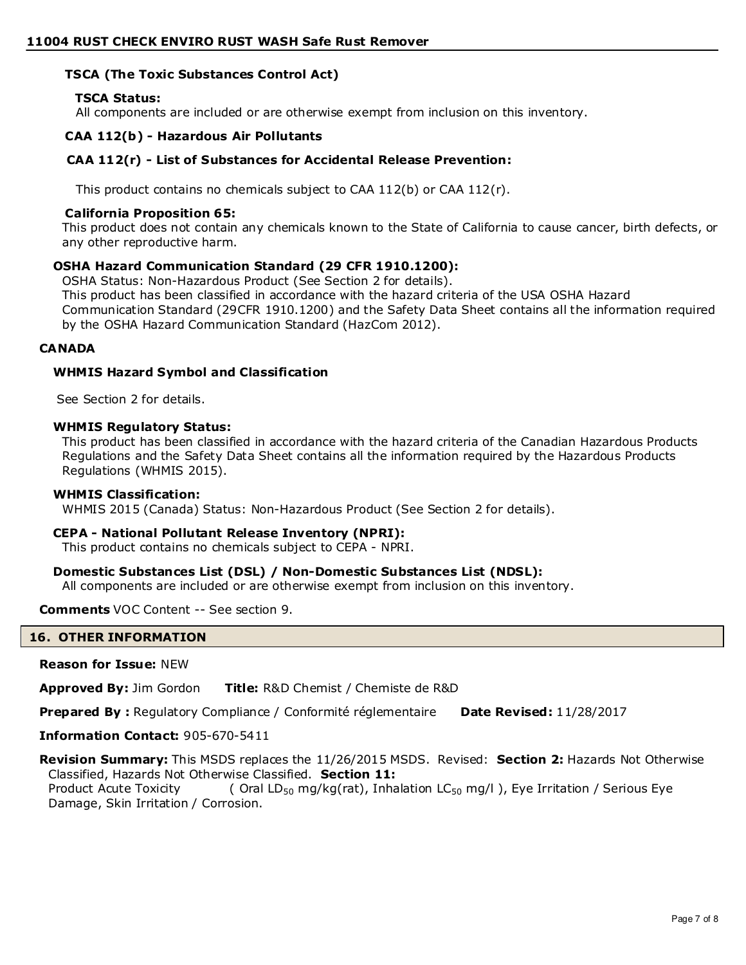# **TSCA (The Toxic Substances Control Act)**

# **TSCA Status:**

All components are included or are otherwise exempt from inclusion on this inventory.

#### **CAA 112(b) - Hazardous Air Pollutants**

#### **CAA 112(r) - List of Substances for Accidental Release Prevention:**

This product contains no chemicals subject to CAA  $112(b)$  or CAA  $112(r)$ .

#### **California Proposition 65:**

This product does not contain any chemicals known to the State of California to cause cancer, birth defects, or any other reproductive harm.

#### **OSHA Hazard Communication Standard (29 CFR 1910.1200):**

OSHA Status: Non-Hazardous Product (See Section 2 for details). This product has been classified in accordance with the hazard criteria of the USA OSHA Hazard Communication Standard (29CFR 1910.1200) and the Safety Data Sheet contains all the information required by the OSHA Hazard Communication Standard (HazCom 2012).

# **CANADA**

#### **WHMIS Hazard Symbol and Classification**

See Section 2 for details.

#### **WHMIS Regulatory Status:**

This product has been classified in accordance with the hazard criteria of the Canadian Hazardous Products Regulations and the Safety Data Sheet contains all the information required by the Hazardous Products Regulations (WHMIS 2015).

#### **WHMIS Classification:**

WHMIS 2015 (Canada) Status: Non-Hazardous Product (See Section 2 for details).

#### **CEPA - National Pollutant Release Inventory (NPRI):**

This product contains no chemicals subject to CEPA - NPRI.

# **Domestic Substances List (DSL) / Non-Domestic Substances List (NDSL):**

All components are included or are otherwise exempt from inclusion on this inventory.

**Comments** VOC Content -- See section 9.

#### **16. OTHER INFORMATION**

#### **Reason for Issue:** NEW

**Approved By:** Jim Gordon **Title:** R&D Chemist / Chemiste de R&D

**Prepared By :** Regulatory Compliance / Conformité réglementaire **Date Revised:** 11/28/2017

**Information Contact:** 905-670-5411

**Revision Summary:** This MSDS replaces the 11/26/2015 MSDS. Revised: **Section 2:** Hazards Not Otherwise Classified, Hazards Not Otherwise Classified. **Section 11:**

Product Acute Toxicity  $($  Oral LD<sub>50</sub> mg/kg(rat), Inhalation LC<sub>50</sub> mg/l), Eye Irritation / Serious Eye Damage, Skin Irritation / Corrosion.